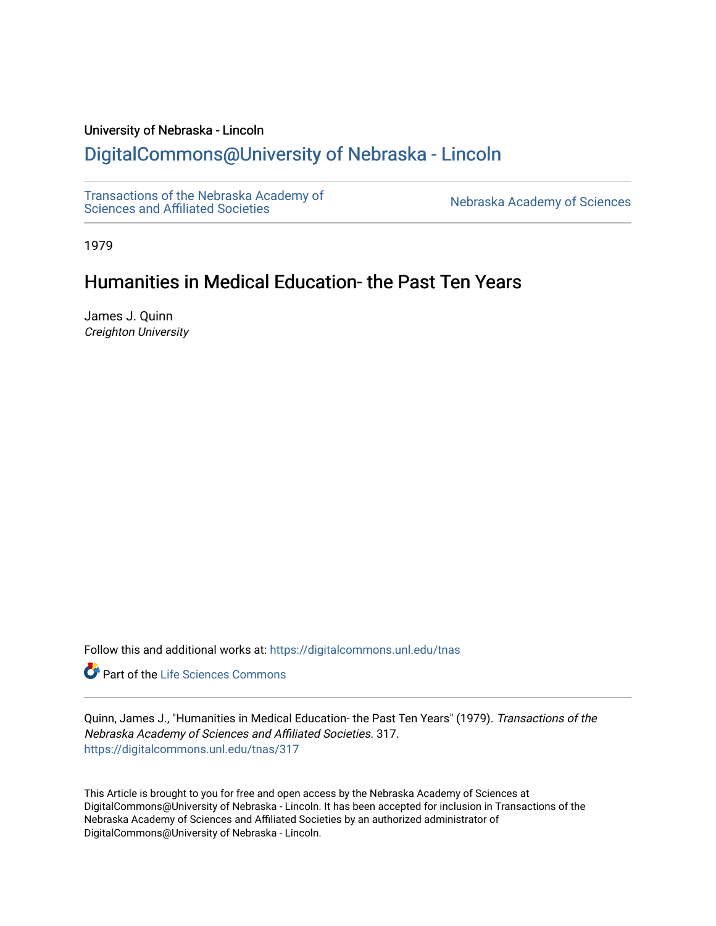### University of Nebraska - Lincoln

# [DigitalCommons@University of Nebraska - Lincoln](https://digitalcommons.unl.edu/)

[Transactions of the Nebraska Academy of](https://digitalcommons.unl.edu/tnas)  Transactions of the Nebraska Academy of Sciences<br>Sciences and Affiliated Societies

1979

# Humanities in Medical Education- the Past Ten Years

James J. Quinn Creighton University

Follow this and additional works at: [https://digitalcommons.unl.edu/tnas](https://digitalcommons.unl.edu/tnas?utm_source=digitalcommons.unl.edu%2Ftnas%2F317&utm_medium=PDF&utm_campaign=PDFCoverPages) 

Part of the [Life Sciences Commons](http://network.bepress.com/hgg/discipline/1016?utm_source=digitalcommons.unl.edu%2Ftnas%2F317&utm_medium=PDF&utm_campaign=PDFCoverPages) 

Quinn, James J., "Humanities in Medical Education- the Past Ten Years" (1979). Transactions of the Nebraska Academy of Sciences and Affiliated Societies. 317. [https://digitalcommons.unl.edu/tnas/317](https://digitalcommons.unl.edu/tnas/317?utm_source=digitalcommons.unl.edu%2Ftnas%2F317&utm_medium=PDF&utm_campaign=PDFCoverPages) 

This Article is brought to you for free and open access by the Nebraska Academy of Sciences at DigitalCommons@University of Nebraska - Lincoln. It has been accepted for inclusion in Transactions of the Nebraska Academy of Sciences and Affiliated Societies by an authorized administrator of DigitalCommons@University of Nebraska - Lincoln.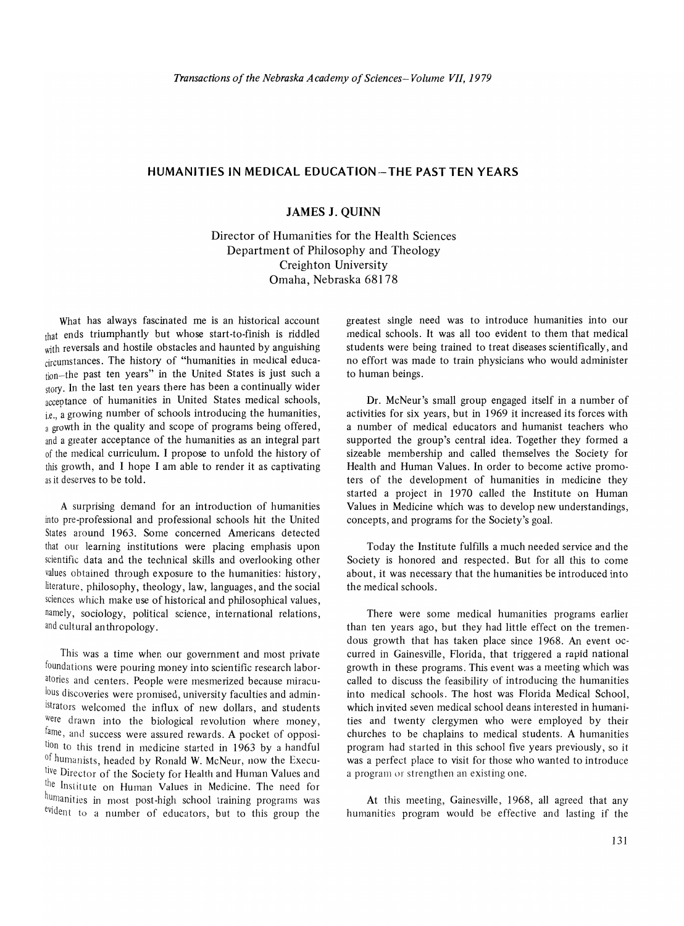### **HUMANITIES IN MEDICAL EDUCATION- THE PAST TEN YEARS**

## **JAMES J. QUINN**

Director of Humanities for the Health Sciences Department of Philosophy and Theology Creighton University Omaha, Nebraska 68178

What has always fascinated me is an historical account that ends triumphantly but whose start-to-finish is riddled with reversals and hostile obstacles and haunted by anguishing circumstances. The history of "humanities in medical education-the past ten years" in the United States is just such a story. In the last ten years there has been a continually wider acceptance of humanities in United States medical schools, i.e., a growing number of schools introducing the humanities, a growth in the quality and scope of programs being offered, and a greater acceptance of the humanities as an integral part of the medical curriculum. I propose to unfold the history of this growth, and I hope I am able to render it as captivating as it deserves to be told.

A surprising demand for an introduction of humanities into pre-professional and professional schools hit the United States around 1963. Some concerned Americans detected that our learning institutions were placing emphasis upon scientific data and the technical skills and overlooking other values ohtained through exposure to the humanities: history, literature, philosophy, theology, law, languages, and the social sciences which make use of historical and philosophical values, namely, sociology, political science, international relations, and cultural an thropology.

This was a time when our government and most private foundations were pouring money into scientific research laboratories and centers. People were mesmerized because miraculous discoveries were promised, university faculties and administrators welcomed the influx of new dollars, and students were drawn into the biological revolution where money, fame, and success were assured rewards. A pocket of opposition to this trend in medicine started in 1963 by a handful of humanists, headed by Ronald W. McNeur, now the Executive Director of the Society for Health and Human Values and the Institute on Human Values in Medicine. The need for humanities in most post-high school training programs was evident to a number of educators, but to this group the

greatest single need was to introduce humanities into our medical schools. It was all too evident to them that medical students were being trained to treat diseases scientifically, and no effort was made to train physicians who would administer to human beings.

Dr. McNeur's small group engaged itself in a number of activities for six years, but in 1969 it increased its forces with a number of medical educators and humanist teachers who supported the group's central idea. Together they formed a sizeable membership and called themselves the Society for Health and Human Values. In order to become active promoters of the development of humanities in medicine they started a project in 1970 called the Institute on Human Values in Medicine which was to develop new understandings, concepts, and programs for the Society's goal.

Today the Institute fulfills a much needed service and the Society is honored and respected. But for all this to come about, it was necessary that the humanities be introduced into the medical schools.

There were some medical humanities programs earlier than ten years ago, but they had little effect on the tremendous growth that has taken place since 1968. An event occurred in Gainesville, Florida, that triggered a rapid national growth in these programs. This event was a meeting which was called to discuss the feasibility of introducing the humanities into medical schools. The host was Florida Medical School, which invited seven medical school deans interested in humanities and twenty clergymen who were employed by their churches to be chaplains to medical students. A humanities program had started in this school five years previously, so it was a perfect place to visit for those who wanted to introduce a program or strengthen an existing one.

At this meeting, Gainesville, 1968, all agreed that any humanities program would be effective and lasting if the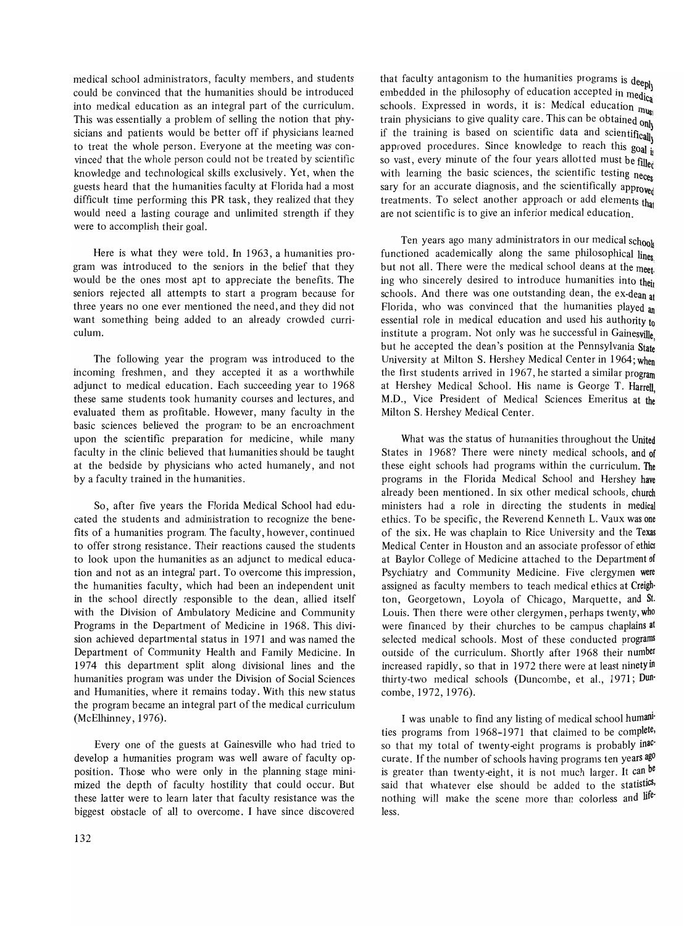medical school administrators, faculty members, and students could be convinced that the humanities should be introduced into medical education as an integral part of the curriculum. This was essentially a problem of selling the notion that physicians and patients would be better off if physicians learned to treat the whole person. Everyone at the meeting was convinced that the whole person could not be treated by scientific knowledge and technological skills exclusively. Yet, when the guests heard that the humanities faculty at Florida had a most difficult time performing this PR task, they realized that they would need a lasting courage and unlimited strength if they were to accomplish their goal.

Here is what they were told. In 1963, a humanities program was introduced to the seniors in the belief that they would be the ones most apt to appreciate the benefits. The seniors rejected all attempts to start a program because for three years no one ever mentioned the need, and they did not want something being added to an already crowded curriculum.

The following year the program was introduced to the incoming freshmen, and they accepted it as a worthwhile adjunct to medical education. Each succeeding year to 1968 these same students took humanity courses and lectures, and evaluated them as profitable. However, many faculty in the basic sciences believed the program to be an encroachment upon the scientific preparation for medicine, while many faculty in the clinic believed that humanities should be taught at the bedside by physicians who acted humanely, and not by a faculty trained in the humanities.

So, after five years the Florida Medical School had educated the students and administration to recognize the benefits of a humanities program. The faculty, however, continued to offer strong resistance. Their reactions caused the students to look upon the humanities as an adjunct to medical education and not as an integral part. To overcome this impression, the humanities faculty, which had been an independent unit in the school directly responsible to the dean, allied itself with the Division of Ambulatory Medicine and Community Programs in the Department of Medicine in 1968. This division achieved departmental status in 1971 and was named the Department of Community Health and Family Medicine. **In**  1974 this department split along divisional lines and the humanities program was under the Division of Social Sciences and Humanities, where it remains today. With this new status the program became an integral part of the medical curriculum (McElhinney, 1976).

Every one of the guests at Gainesville who had tried to develop a humanities program was well aware of faculty opposition. Those who were only in the planning stage minimized the depth of faculty hostility that could occur. But these latter were to leam later that faculty resistance was the biggest obstacle of all to overcome. I have since discovered

that faculty antagonism to the humanities programs is deeph embedded in the philosophy of education accepted in medica schools. Expressed in words, it is: Medical education  $n_{\text{llge}}$ train physicians to give quality care. This can be obtained only if the training is based on scientific data and scientifically approved procedures. Since knowledge to reach this goal  $\frac{1}{16}$ so vast, every minute of the four years allotted must be  $\hat{f}_i$ lled with learning the basic sciences, the scientific testing neces sary for an accurate diagnosis, and the scientifically approved treatments. To select another approach or add elements that are not scientific is to give an inferior medical education.

Ten years ago many administrators in our medical schook functioned academically along the same philosophical lines. but not all. There were the medical school deans at the meet. ing who sincerely desired to introduce humanities into their schools. And there was one outstanding dean, the ex-dean at Florida, who was convinced that the humanities played an essential role in medical education and used his authority to institute a program. Not only was he successful in Gainesville but he accepted the dean's position at the Pennsylvania State University at Milton S. Hershey Medical Center in 1964; When the first students arrived in 1967, he started a similar program at Hershey Medical School. His name is George T. Harrell, M.D., Vice President of Medical Sciences Emeritus at the Milton S. Hershey Medical Center.

What was the status of humanities throughout the United States in 1968? There were ninety medical schools, and of these eight schools had programs within the curriculum. The programs in the Florida Medical School and Hershey have already been mentioned. In six other medical schools, church ministers had a role in directing the students in medical ethics. To be specific, the Reverend Kenneth L. Vaux was one of the six. He was chaplain to Rice University and the Texas Medical Center in Houston and an associate professor of ethics at Baylor College of Medicine attached to the Department of Psychiatry and Community Medicine. Five clergymen were assigned as faculty members to teach medical ethics at Creigh· ton, Georgetown, Loyola of Chicago, Marquette, and St. Louis. Then there were other clergymen, perhaps twenty, who were financed by their churches to be campus chaplains at selected medical schools. Most of these conducted programs outsidc of the curriculum. Shortly after 1968 their number increased rapidly, so that in 1972 there were at least ninety in thirty-two medical schools (Duncombe, et aI., 1971; Dun' combe, 1972, 1976).

I was unable to find any listing of medical school humani' ties programs from 1968-1971 that claimed to be complete, so that my total of twenty-eight programs is probably inaccurate. If the number of schools having programs ten years ago is greater than twenty-eight, it is not much larger. It can be said that whatever else should be added to the statistics, nothing will make the scene more than colorless and lifeless.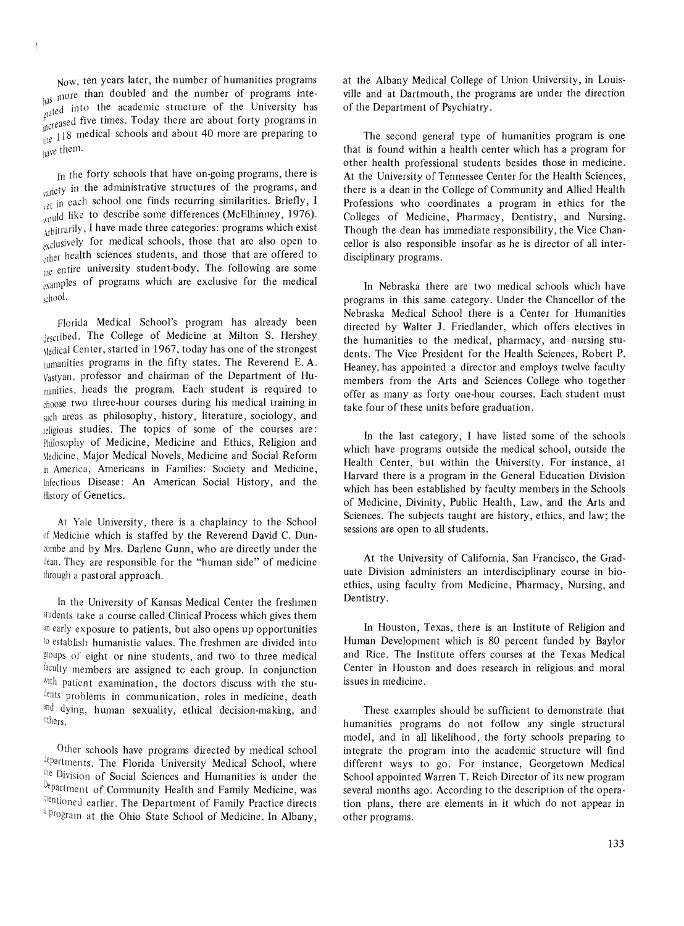Now, ten years later, the number of humanities programs  $_{\text{h}aS}$  more than doubled and the number of programs inte- $\int_{\text{g/d} t}^{\text{mu}}$  into the academic structure of the University has  $_{n\text{c}$ reased five times. Today there are about forty programs in  $\frac{1}{2}$  medical schools and about 40 more are preparing to lave them.

In the forty schools that have on-going programs, there is  $v_{\text{unif}}$  in the administrative structures of the programs, and the in each school one finds recurring similarities. Briefly, I would like to describe some differences (McElhinney, 1976). Arbitrarily, I have made three categories: programs which exist exclusively for medical schools, those that are also open to other health sciences students, and those that are offered to the entire university student-body. The following are some <sub>examples</sub> of programs which are exclusive for the medical school.

Florida Medical School's program has already been described. The College of Medicine at Milton S. Hershey \!edical Cen ter, started in 1967, today has one of the strongest humanities programs in the fifty states. The Reverend E.A. Vastyan, professor and chairman of the Department of Humanities, heads the program. Each student is required to choose two three-hour courses during his medical training in such areas as philosophy, history, literature, sociology, and religious studies. The topics of some of the courses are: Philosophy of Medicine, Medicine and Ethics, Religion and \!edicine, Major Medical Novels, Medicine and Social Reform m America, Americans in Families: Society and Medicine, Infectious Disease: An American Social History, and the History of Genetics.

At Yale University, there is a chaplaincy to the School of Medicine which is staffed by the Reverend David C. Duncombe and by Mrs. Darlene Gunn, who are directly under the dean. They are responsible for the "human side" of medicine through a pastoral approach.

In the University of Kansas Medical Center the freshmen students take a course called Clinical Process which gives them an early exposure to patients, but also opens up opportunities to establish humanistic values. The freshmen are divided into groups of eight or nine students, and two to three medical faculty members are assigned to each group. In conjunction with patient examination, the doctors discuss with the students problems in communication, roles in medicine, death and dying, human sexuality, ethical decision-making, and others.

Other schools have programs directed by medical school departments. The Florida University Medical School, where the Division of Social Sciences and Humanities is under the Department of Community Health and Family Medicine, was thentioned earlier. The Department of Family Practice directs <sup>4</sup> Program at the Ohio State School of Medicine. In Albany, at the Albany Medical College of Union University, in Louisville and at Dartmouth, the programs are under the direction of the Department of Psychiatry.

The second general type of humanities program is one that is found within a health center which has a program for other health professional students besides those in medicine. At the University of Tennessee Center for the Health Sciences, there is a dean in the College of Community and Allied Health Professions who coordinates a program in ethics for the Colleges of Medicine, Pharmacy, Dentistry, and Nursing. Though the dean has immediate responsibility, the Vice Chancellor is also responsible insofar as he is director of all inter-' disciplinary programs.

**In** Nebraska there are two medical schools which have programs in this same category. Under the Chancellor of the Nebraska Medical School there is a Center for Humanities directed by Walter J. Friedlander, which offers electives in the humanities to the medical, pharmacy, and nursing students. The Vice President for the Health Sciences, Robert P. Heaney, has appointed a director and employs twelve faculty members from the Arts and Sciences College who together offer as many as forty one-hour courses. Each student must take four of these units before graduation.

In the last category, I have listed some of the schools which have programs outside the medical school, outside the Health Center, but within the University. For instance, at Harvard there is a program in the General Education Division which has been established by faculty members in the Schools of Medicine, Divinity, Public Health, Law, and the Arts and Sciences. The subjects taught are history, ethics, and law; the sessions are open to all students.

At the University of California, San Francisco, the Graduate Division administers an interdisciplinary course in bioethics, using faculty from Medicine, Pharmacy, Nursing, and Dentistry.

In Houston, Texas, there is an Institute of Religion and Human Development which is 80 percent funded by Baylor and Rice. The Institute offers courses at the Texas Medical Center in Houston and does research in religious and moral issues in medicine.

These examples should be sufficient to demonstrate that humanities programs do not follow any single structural model, and in all likelihood, the forty schools preparing to integrate the program into the academic structure will find different ways to go. For instance, Georgetown Medical School appointed Warren T. Reich Director of its new program several months ago. According to the description of the operation plans, there are elements in it which do not appear in other programs.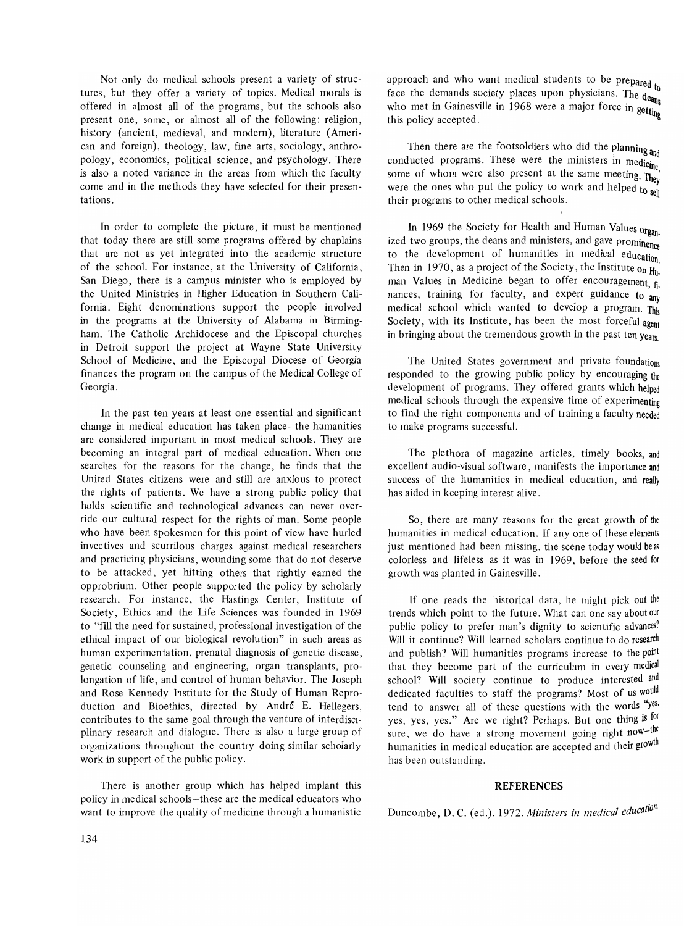Not only do medical schools present a variety of structures, but they offer a variety of topics. Medical morals is offered in almost all of the programs, but the schools also present one, some, or almost all of the following: religion, history (ancient, medieval, and modern), literature (American and foreign), theology, law, fine arts, sociology, anthropology, economics, political science, and psychology. There is also a noted variance in the areas from which the faculty come and in the methods they have selected for their presentations.

In order to complete the picture, it must be mentioned that today there are still some programs offered by chaplains that are not as yet integrated into the academic structure of the school. For instance, at the University of California, San Diego, there is a campus minister who is employed by the United Ministries in Higher Education in Southern California. Eight denominations support the people involved in the programs at the University of Alabama in Birmingham. The Catholic Archidocese and the Episcopal churches in Detroit support the project at Wayne State University School of Medicine, and the Episcopal Diocese of Georgia finances the program on the campus of the Medical College of Georgia.

In the past ten years at least one essential and significant change in medical education has taken place-the humanities are considered important in most medical schools. They are becoming an integral part of medical education. When one searches for the reasons for the change, he finds that the United States citizens were and still are anxious to protect the rights of patients. We have a strong public policy that holds scientific and technological advances can never override our cultural respect for the rights of man. Some people who have been spokesmen for this point of view have hurled invectives and scurrilous charges against medical researchers and practicing physicians, wounding some that do not deserve to be attacked, yet hitting others that rightly earned the opprobrium. Other people supported the policy by scholarly research. For instance, the Hastings Center, Institute of Society, Ethics and the Life Sciences was founded in 1969 to "fill the need for sustained, professional investigation of the ethical impact of our biological revolution" in such areas as human eXperimentation, prenatal diagnosis of genetic disease, genetic counseling and engineering, organ transplants, prolongation of life, and control of human behavior. The Joseph and Rose Kennedy Institute for the Study of Human Reproduction and Bioethics, directed by André E. Hellegers, contributes to the same goal through the venture of interdisciplinary research and dialogue. There is also a large group of organizations throughout the country doing similar scholarly work in support of the public policy.

There is another group which has helped implant this policy in medical schools-these are the medical educators who want to improve the quality of medicine through a humanistic

approach and who want medical students to be prepared  $t_0$ face the demands society places upon physicians. The  $de_{\text{ang}}$ who met in Gainesville in 1968 were a major force in  $\text{getti}_{\text{Inp}}$ this policy accepted.

Then there are the footsoldiers who did the planning and conducted programs. These were the ministers in medicine some of whom were also present at the same meeting. They were the ones who put the policy to work and helped to  $\frac{1}{2}$ their programs to other medical schools.

In 1969 the Society for Health and Human Values organ. ized two groups, the deans and ministers, and gave prominence to the development of humanities in medical education. Then in 1970, as a project of the Society, the Institute on  $H_{\text{h}}$ . man Values in Medicine began to offer encouragement, fi. nances, training for faculty, and expert guidance to any medical school which wanted to develop a program. This Society, with its Institute, has been the most forceful agent in bringing about the tremendous growth in the past ten years.

The United States government and private foundations responded to the growing public policy by encouraging the development of programs. They offered grants which helped medical schools through the expensive time of experimenting to find the right components and of training a faculty needed to make programs successful.

The plethora of magazine articles, timely books, and excellent audio-visual software, manifests the importance and success of the humanities in medical education, and really has aided in keeping interest alive.

So, there are many reasons for the great growth of the humanities in medical education. If anyone of these elements just mentioned had been missing, the scene today would be as colorless and lifeless as it was in 1969, before the seed for growth was planted in Gainesville.

If one reads the historical data, he might pick out the trends which point to the future. What can one say about our public policy to prefer man's dignity to scientific advances? Will it continue? Will learned scholars continue to do research and publish? Will humanities programs increase to the point that they become part of the curriculum in every medical school? Will society continue to produce interested and dedicated faculties to staff the programs? Most of us would tend to answer all of these questions with the words "yes. yes, yes, yes." Are we right? Perhaps. But one thing is for sure, we do have a strong movement going right now-the humanities in medical education are accepted and their growth has been outstanding.

#### **REFERENCES**

Duncombe, D. C. (ed.). 1972. *Ministers in medical education*.